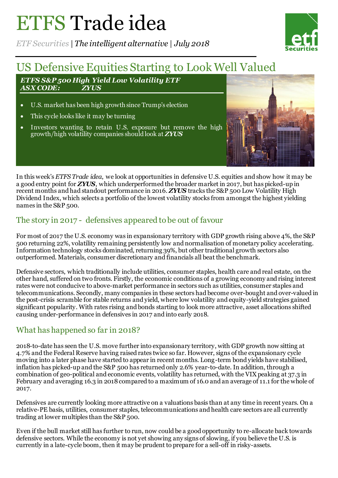# ETFS Trade idea

*ETF Securities | The intelligent alternative | July 2018*



## US Defensive Equities Starting to Look Well Valued

*ETFS S&P 500 High Yield Low Volatility ETF*  $A$ *SX* CODE:

- U.S. market has been high growth since Trump's election
- This cycle looks like it may be turning
- Investors wanting to retain U.S. exposure but remove the high growth/high volatility companies should look at *ZYUS*



In this week's *ETFS Trade idea*, we look at opportunities in defensive U.S. equities and show how it may be a good entry point for *ZYUS*, which underperformed the broader market in 2017, but has picked-up in recent months and had standout performance in 2016. *ZYUS* tracks the S&P 500 Low Volatility High Dividend Index, which selects a portfolio of the lowest volatility stocks from amongst the highest yielding names in the S&P 500.

#### The story in 2017 - defensives appeared to be out of favour

For most of 2017 the U.S. economy was in expansionary territory with GDP growth rising above 4%, the S&P 500 returning 22%, volatility remaining persistently low and normalisation of monetary policy accelerating. Information technology stocks dominated, returning 39%, but other traditional growth sectors also outperformed. Materials, consumer discretionary and financials all beat the benchmark.

Defensive sectors, which traditionally include utilities, consumer staples, health care and real estate, on the other hand, suffered on two fronts. Firstly, the economic conditions of a growing economy and rising interest rates were not conducive to above-market performance in sectors such as utilities, consumer staples and telecommunications. Secondly, many companies in these sectors had become over-bought and over-valued in the post-crisis scramble for stable returns and yield, where low volatility and equity-yield strategies gained significant popularity. With rates rising and bonds starting to look more attractive, asset allocations shifted causing under-performance in defensives in 2017 and into early 2018.

### What has happened so far in 2018?

2018-to-date has seen the U.S. move further into expansionary territory, with GDP growth now sitting at 4.7% and the Federal Reserve having raised rates twice so far. However, signs of the expansionary cycle moving into a later phase have started to appear in recent months. Long-term bond yields have stabilised, inflation has picked-up and the S&P 500 has returned only 2.6% year-to-date. In addition, through a combination of geo-political and economic events, volatility has returned, with the VIX peaking at 37.3 in February and averaging 16.3 in 2018 compared to a maximum of 16.0 and an average of 11.1 for the whole of 2017.

Defensives are currently looking more attractive on a valuations basis than at any time in recent years. On a relative-PE basis, utilities, consumer staples, telecommunications and health care sectors are all currently trading at lower multiples than the S&P 500.

Even if the bull market still has further to run, now could be a good opportunity to re-allocate back towards defensive sectors. While the economy is not yet showing any signs of slowing, if you believe the U.S. is currently in a late-cycle boom, then it may be prudent to prepare for a sell-off in risky-assets.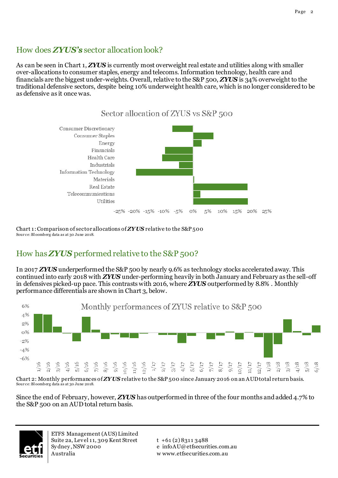#### How does *ZYUS's* sector allocation look?

As can be seen in Chart 1, *ZYUS* is currently most overweight real estate and utilities along with smaller over-allocations to consumer staples, energy and telecoms. Information technology, health care and financials are the biggest under-weights. Overall, relative to the S&P 500, *ZYUS* is 34% overweight to the traditional defensive sectors, despite being 10% underweight health care, which is no longer considered to be as defensive as it once was.



Chart 1: Comparison of sector allocations of **ZYUS** relative to the S&P 500 Sour ce: Bl oomberg data as at 30 June 2018.

### How has *ZYUS* performed relative to the S&P 500?

In 2017 *ZYUS* underperformed the S&P 500 by nearly 9.6% as technology stocks accelerated away. This continued into early 2018 with *ZYUS* under-performing heavily in both January and February as the sell-off in defensives picked-up pace. This contrasts with 2016, where *ZYUS* outperformed by 8.8% . Monthly performance differentials are shown in Chart 3, below.



Chart 2: Monthly performances of *ZYUS* relative to the S&P 500 since January 2016 on an AUD total return basis. Sour ce: Bl oomberg data as at 30 June 2018.

Since the end of February, however, *ZYUS* has outperformed in three of the four months and added 4.7% to the S&P 500 on an AUD total return basis.



ETFS Management (AUS) Limited Suite 2a, Level 11, 309 Kent Street Sy dney , NSW 2000 Australia

 $t + 61 (2) 8311 3488$ e infoAU@etfsecurities.com.au w www.etfsecurities.com.au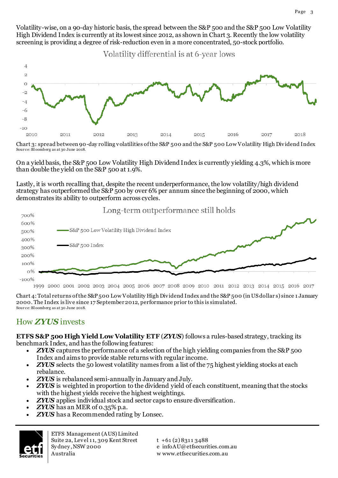Volatility-wise, on a 90-day historic basis, the spread between the S&P 500 and the S&P 500 Low Volatility High Dividend Index is currently at its lowest since 2012, as shown in Chart 3. Recently the low volatility screening is providing a degree of risk-reduction even in a more concentrated, 50-stock portfolio.

Volatility differential is at 6-year lows



Chart 3: spread between 90-day rolling volatilities of the S&P 500 and the S&P 500 Low Volatility High Dividend Index Sour ce: Bl oomberg as at 30 June 2018.

On a yield basis, the S&P 500 Low Volatility High Dividend Index is currently yielding 4.3%, which is more than double the yield on the S&P 500 at 1.9%.

Lastly, it is worth recalling that, despite the recent underperformance, the low volatility/high dividend strategy has outperformed the S&P 500 by over 6% per annum since the beginning of 2000, which demonstrates its ability to outperform across cycles.

Long-term outperformance still holds



1999 2000 2001 2002 2003 2004 2005 2006 2007 2008 2009 2010 2011 2012 2013 2014 2015 2016 2017

Chart 4:Total returns of the S&P 500 Low Volatility High Dividend Index and the S&P 500 (in US dollar s) since 1 January 2000. The Index is live since 17 September 2012, performance prior to this is simulated. Sour ce: Bl oomberg as at 30 June 2018.

### How *ZYUS* invests

**ETFS S&P 500 High Yield Low Volatility ETF** (*ZYUS*) follows a rules-based strategy, tracking its benchmark Index, and has the following features:

- *ZYUS* captures the performance of a selection of the high yielding companies from the S&P 500 Index and aims to provide stable returns with regular income.
- *ZYUS* selects the 50 lowest volatility names from a list of the 75 highest yielding stocks at each rebalance.
- *ZYUS* is rebalanced semi-annually in January and July.
- *ZYUS* is weighted in proportion to the dividend yield of each constituent, meaning that the stocks with the highest yields receive the highest weightings.
- *ZYUS* applies individual stock and sector caps to ensure diversification.
- *ZYUS* has an MER of 0.35% p.a.
- *ZYUS* has a Recommended rating by Lonsec.



ETFS Management (AUS) Limited Suite 2a, Level 11, 309 Kent Street Sy dney , NSW 2000 Australia

 $t + 61 (2) 8311 3488$ e infoAU@etfsecurities.com.au w www.etfsecurities.com.au